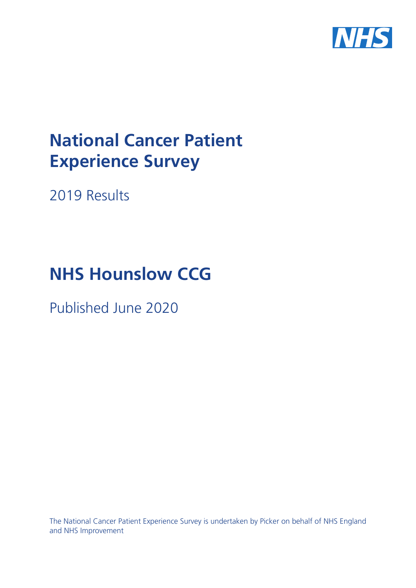

# **National Cancer Patient Experience Survey**

2019 Results

# **NHS Hounslow CCG**

Published June 2020

The National Cancer Patient Experience Survey is undertaken by Picker on behalf of NHS England and NHS Improvement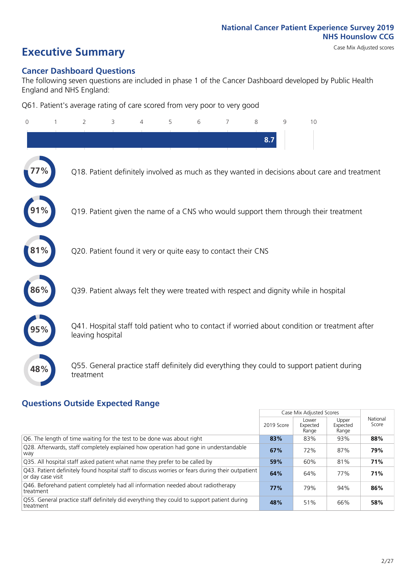# **Executive Summary** Case Mix Adjusted scores

### **Cancer Dashboard Questions**

The following seven questions are included in phase 1 of the Cancer Dashboard developed by Public Health England and NHS England:

Q61. Patient's average rating of care scored from very poor to very good

| $\Omega$ | 2                | 3                                                             | $\overline{4}$ | 5 | 6 | 7 | 8   | 9 | 10                                                                                            |
|----------|------------------|---------------------------------------------------------------|----------------|---|---|---|-----|---|-----------------------------------------------------------------------------------------------|
|          |                  |                                                               |                |   |   |   | 8.7 |   |                                                                                               |
|          |                  |                                                               |                |   |   |   |     |   | Q18. Patient definitely involved as much as they wanted in decisions about care and treatment |
|          |                  |                                                               |                |   |   |   |     |   | Q19. Patient given the name of a CNS who would support them through their treatment           |
| $1\%$    |                  | Q20. Patient found it very or quite easy to contact their CNS |                |   |   |   |     |   |                                                                                               |
| 86%      |                  |                                                               |                |   |   |   |     |   | Q39. Patient always felt they were treated with respect and dignity while in hospital         |
|          | leaving hospital |                                                               |                |   |   |   |     |   | Q41. Hospital staff told patient who to contact if worried about condition or treatment after |
| 48%      | treatment        |                                                               |                |   |   |   |     |   | Q55. General practice staff definitely did everything they could to support patient during    |

### **Questions Outside Expected Range**

|                                                                                                                        |            | Case Mix Adjusted Scores   |                            |                   |
|------------------------------------------------------------------------------------------------------------------------|------------|----------------------------|----------------------------|-------------------|
|                                                                                                                        | 2019 Score | Lower<br>Expected<br>Range | Upper<br>Expected<br>Range | National<br>Score |
| Q6. The length of time waiting for the test to be done was about right                                                 | 83%        | 83%                        | 93%                        | 88%               |
| Q28. Afterwards, staff completely explained how operation had gone in understandable<br>way                            | 67%        | 72%                        | 87%                        | 79%               |
| Q35. All hospital staff asked patient what name they prefer to be called by                                            | 59%        | 60%                        | 81%                        | 71%               |
| [Q43] Patient definitely found hospital staff to discuss worries or fears during their outpatient<br>or day case visit | 64%        | 64%                        | 77%                        | 71%               |
| Q46. Beforehand patient completely had all information needed about radiotherapy<br>treatment                          | 77%        | 79%                        | 94%                        | 86%               |
| Q55. General practice staff definitely did everything they could to support patient during<br>treatment                | 48%        | 51%                        | 66%                        | 58%               |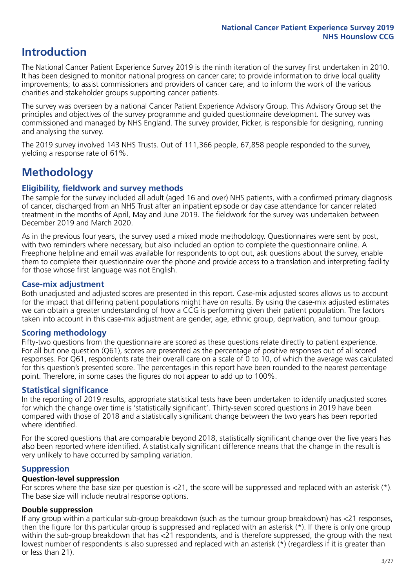# **Introduction**

The National Cancer Patient Experience Survey 2019 is the ninth iteration of the survey first undertaken in 2010. It has been designed to monitor national progress on cancer care; to provide information to drive local quality improvements; to assist commissioners and providers of cancer care; and to inform the work of the various charities and stakeholder groups supporting cancer patients.

The survey was overseen by a national Cancer Patient Experience Advisory Group. This Advisory Group set the principles and objectives of the survey programme and guided questionnaire development. The survey was commissioned and managed by NHS England. The survey provider, Picker, is responsible for designing, running and analysing the survey.

The 2019 survey involved 143 NHS Trusts. Out of 111,366 people, 67,858 people responded to the survey, yielding a response rate of 61%.

# **Methodology**

### **Eligibility, eldwork and survey methods**

The sample for the survey included all adult (aged 16 and over) NHS patients, with a confirmed primary diagnosis of cancer, discharged from an NHS Trust after an inpatient episode or day case attendance for cancer related treatment in the months of April, May and June 2019. The fieldwork for the survey was undertaken between December 2019 and March 2020.

As in the previous four years, the survey used a mixed mode methodology. Questionnaires were sent by post, with two reminders where necessary, but also included an option to complete the questionnaire online. A Freephone helpline and email was available for respondents to opt out, ask questions about the survey, enable them to complete their questionnaire over the phone and provide access to a translation and interpreting facility for those whose first language was not English.

### **Case-mix adjustment**

Both unadjusted and adjusted scores are presented in this report. Case-mix adjusted scores allows us to account for the impact that differing patient populations might have on results. By using the case-mix adjusted estimates we can obtain a greater understanding of how a CCG is performing given their patient population. The factors taken into account in this case-mix adjustment are gender, age, ethnic group, deprivation, and tumour group.

### **Scoring methodology**

Fifty-two questions from the questionnaire are scored as these questions relate directly to patient experience. For all but one question (Q61), scores are presented as the percentage of positive responses out of all scored responses. For Q61, respondents rate their overall care on a scale of 0 to 10, of which the average was calculated for this question's presented score. The percentages in this report have been rounded to the nearest percentage point. Therefore, in some cases the figures do not appear to add up to 100%.

### **Statistical significance**

In the reporting of 2019 results, appropriate statistical tests have been undertaken to identify unadjusted scores for which the change over time is 'statistically significant'. Thirty-seven scored questions in 2019 have been compared with those of 2018 and a statistically significant change between the two years has been reported where identified.

For the scored questions that are comparable beyond 2018, statistically significant change over the five years has also been reported where identified. A statistically significant difference means that the change in the result is very unlikely to have occurred by sampling variation.

### **Suppression**

### **Question-level suppression**

For scores where the base size per question is  $<$ 21, the score will be suppressed and replaced with an asterisk (\*). The base size will include neutral response options.

### **Double suppression**

If any group within a particular sub-group breakdown (such as the tumour group breakdown) has <21 responses, then the figure for this particular group is suppressed and replaced with an asterisk (\*). If there is only one group within the sub-group breakdown that has <21 respondents, and is therefore suppressed, the group with the next lowest number of respondents is also supressed and replaced with an asterisk (\*) (regardless if it is greater than or less than 21).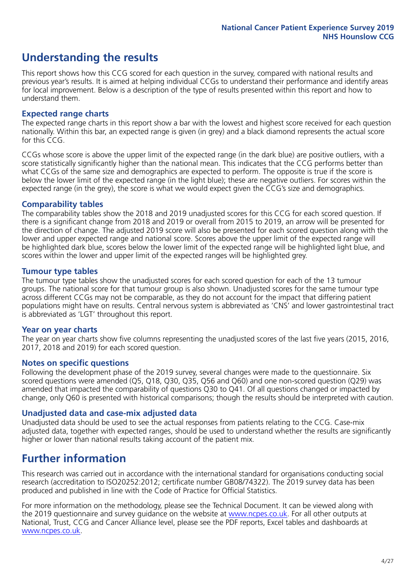# **Understanding the results**

This report shows how this CCG scored for each question in the survey, compared with national results and previous year's results. It is aimed at helping individual CCGs to understand their performance and identify areas for local improvement. Below is a description of the type of results presented within this report and how to understand them.

### **Expected range charts**

The expected range charts in this report show a bar with the lowest and highest score received for each question nationally. Within this bar, an expected range is given (in grey) and a black diamond represents the actual score for this CCG.

CCGs whose score is above the upper limit of the expected range (in the dark blue) are positive outliers, with a score statistically significantly higher than the national mean. This indicates that the CCG performs better than what CCGs of the same size and demographics are expected to perform. The opposite is true if the score is below the lower limit of the expected range (in the light blue); these are negative outliers. For scores within the expected range (in the grey), the score is what we would expect given the CCG's size and demographics.

### **Comparability tables**

The comparability tables show the 2018 and 2019 unadjusted scores for this CCG for each scored question. If there is a significant change from 2018 and 2019 or overall from 2015 to 2019, an arrow will be presented for the direction of change. The adjusted 2019 score will also be presented for each scored question along with the lower and upper expected range and national score. Scores above the upper limit of the expected range will be highlighted dark blue, scores below the lower limit of the expected range will be highlighted light blue, and scores within the lower and upper limit of the expected ranges will be highlighted grey.

### **Tumour type tables**

The tumour type tables show the unadjusted scores for each scored question for each of the 13 tumour groups. The national score for that tumour group is also shown. Unadjusted scores for the same tumour type across different CCGs may not be comparable, as they do not account for the impact that differing patient populations might have on results. Central nervous system is abbreviated as 'CNS' and lower gastrointestinal tract is abbreviated as 'LGT' throughout this report.

### **Year on year charts**

The year on year charts show five columns representing the unadjusted scores of the last five years (2015, 2016, 2017, 2018 and 2019) for each scored question.

### **Notes on specific questions**

Following the development phase of the 2019 survey, several changes were made to the questionnaire. Six scored questions were amended (Q5, Q18, Q30, Q35, Q56 and Q60) and one non-scored question (Q29) was amended that impacted the comparability of questions Q30 to Q41. Of all questions changed or impacted by change, only Q60 is presented with historical comparisons; though the results should be interpreted with caution.

### **Unadjusted data and case-mix adjusted data**

Unadjusted data should be used to see the actual responses from patients relating to the CCG. Case-mix adjusted data, together with expected ranges, should be used to understand whether the results are significantly higher or lower than national results taking account of the patient mix.

### **Further information**

This research was carried out in accordance with the international standard for organisations conducting social research (accreditation to ISO20252:2012; certificate number GB08/74322). The 2019 survey data has been produced and published in line with the Code of Practice for Official Statistics.

For more information on the methodology, please see the Technical Document. It can be viewed along with the 2019 questionnaire and survey quidance on the website at [www.ncpes.co.uk](https://www.ncpes.co.uk/supporting-documents). For all other outputs at National, Trust, CCG and Cancer Alliance level, please see the PDF reports, Excel tables and dashboards at [www.ncpes.co.uk.](https://www.ncpes.co.uk/current-results)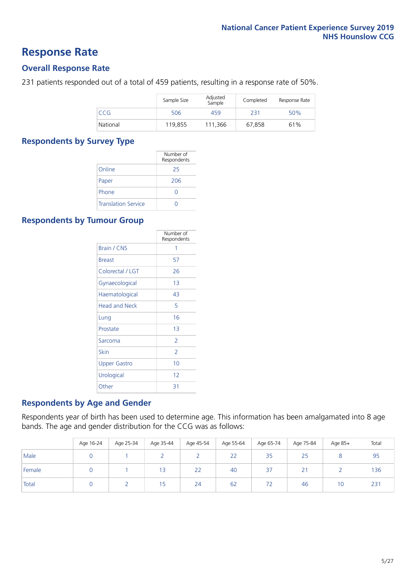### **Response Rate**

### **Overall Response Rate**

231 patients responded out of a total of 459 patients, resulting in a response rate of 50%.

|          | Sample Size | Adjusted<br>Sample | Completed | Response Rate |
|----------|-------------|--------------------|-----------|---------------|
| CCG      | 506         | 459                | 231       | 50%           |
| National | 119.855     | 111.366            | 67.858    | 61%           |

### **Respondents by Survey Type**

|                            | Number of<br>Respondents |
|----------------------------|--------------------------|
| Online                     | 25                       |
| Paper                      | 206                      |
| Phone                      |                          |
| <b>Translation Service</b> |                          |

### **Respondents by Tumour Group**

|                      | Number of<br>Respondents |
|----------------------|--------------------------|
| Brain / CNS          | 1                        |
| <b>Breast</b>        | 57                       |
| Colorectal / LGT     | 26                       |
| Gynaecological       | 13                       |
| Haematological       | 43                       |
| <b>Head and Neck</b> | 5                        |
| Lung                 | 16                       |
| Prostate             | 13                       |
| Sarcoma              | $\mathcal{P}$            |
| Skin                 | $\overline{2}$           |
| <b>Upper Gastro</b>  | 10                       |
| Urological           | 12                       |
| Other                | 31                       |

### **Respondents by Age and Gender**

Respondents year of birth has been used to determine age. This information has been amalgamated into 8 age bands. The age and gender distribution for the CCG was as follows:

|        | Age 16-24 | Age 25-34 | Age 35-44 | Age 45-54 | Age 55-64 | Age 65-74 | Age 75-84   | Age 85+ | Total |
|--------|-----------|-----------|-----------|-----------|-----------|-----------|-------------|---------|-------|
| Male   |           |           |           |           | 22        | 35        | 25          |         | 95    |
| Female |           |           | 13        | 22        | 40        | 37        | $\sim$<br>Z |         | 136   |
| Total  |           |           | 15        | 24        | 62        | 72        | 46          | 10      | 231   |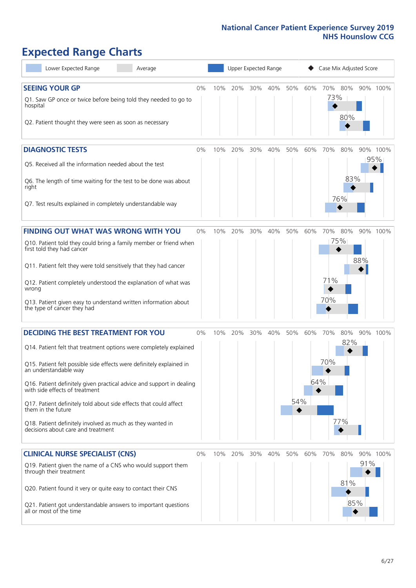# **Expected Range Charts**

| Lower Expected Range<br>Average                                                                                                                                                                                                                                                                                                                                                                                                                                                                                             |       |     | Upper Expected Range |     |     |            |            | Case Mix Adjusted Score  |                   |     |                 |
|-----------------------------------------------------------------------------------------------------------------------------------------------------------------------------------------------------------------------------------------------------------------------------------------------------------------------------------------------------------------------------------------------------------------------------------------------------------------------------------------------------------------------------|-------|-----|----------------------|-----|-----|------------|------------|--------------------------|-------------------|-----|-----------------|
| <b>SEEING YOUR GP</b><br>Q1. Saw GP once or twice before being told they needed to go to<br>hospital<br>Q2. Patient thought they were seen as soon as necessary                                                                                                                                                                                                                                                                                                                                                             | $0\%$ | 10% | 20%                  | 30% | 40% | 50%        | 60%        | 70%<br>73%               | 80%<br>80%        |     | 90% 100%        |
| <b>DIAGNOSTIC TESTS</b><br>Q5. Received all the information needed about the test<br>Q6. The length of time waiting for the test to be done was about<br>right<br>Q7. Test results explained in completely understandable way                                                                                                                                                                                                                                                                                               | $0\%$ | 10% | 20%                  | 30% | 40% | 50%        | 60%        | 70%<br>76%               | 80%<br>83%        |     | 90% 100%<br>95% |
| <b>FINDING OUT WHAT WAS WRONG WITH YOU</b><br>Q10. Patient told they could bring a family member or friend when<br>first told they had cancer<br>Q11. Patient felt they were told sensitively that they had cancer<br>Q12. Patient completely understood the explanation of what was<br>wrong<br>Q13. Patient given easy to understand written information about<br>the type of cancer they had                                                                                                                             | $0\%$ | 10% | 20%                  | 30% | 40% | 50%        | 60%        | 70%<br>75%<br>71%<br>70% | 80%               | 88% | 90% 100%        |
| <b>DECIDING THE BEST TREATMENT FOR YOU</b><br>Q14. Patient felt that treatment options were completely explained<br>Q15. Patient felt possible side effects were definitely explained in<br>an understandable way<br>Q16. Patient definitely given practical advice and support in dealing<br>with side effects of treatment<br>Q17. Patient definitely told about side effects that could affect<br>them in the future<br>Q18. Patient definitely involved as much as they wanted in<br>decisions about care and treatment | 0%    | 10% | 20%                  | 30% | 40% | 50%<br>54% | 60%<br>64% | 70%<br>70%<br>77%        | 80%<br>82%        |     | 90% 100%        |
| <b>CLINICAL NURSE SPECIALIST (CNS)</b><br>Q19. Patient given the name of a CNS who would support them<br>through their treatment<br>Q20. Patient found it very or quite easy to contact their CNS<br>Q21. Patient got understandable answers to important questions<br>all or most of the time                                                                                                                                                                                                                              | 0%    | 10% | 20%                  | 30% | 40% | 50%        | 60%        | 70%                      | 80%<br>81%<br>85% | 91% | 90% 100%        |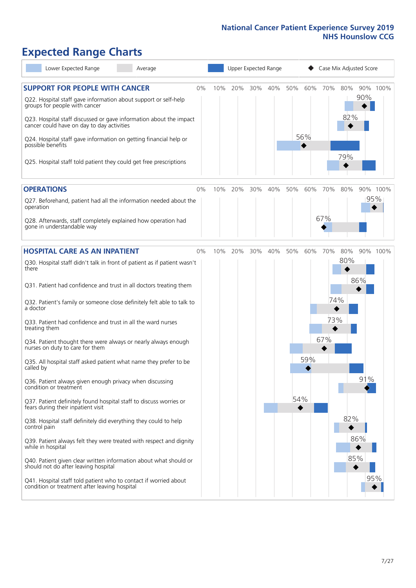# **Expected Range Charts**

| Lower Expected Range<br>Average                                                                                                                   |     |     | Upper Expected Range |     |     |     | Case Mix Adjusted Score |     |     |          |
|---------------------------------------------------------------------------------------------------------------------------------------------------|-----|-----|----------------------|-----|-----|-----|-------------------------|-----|-----|----------|
| <b>SUPPORT FOR PEOPLE WITH CANCER</b><br>0%<br>Q22. Hospital staff gave information about support or self-help                                    | 10% | 20% | 30%                  | 40% | 50% | 60% | 70%                     | 80% | 90% | 90% 100% |
| groups for people with cancer<br>Q23. Hospital staff discussed or gave information about the impact<br>cancer could have on day to day activities |     |     |                      |     |     |     |                         | 82% |     |          |
| Q24. Hospital staff gave information on getting financial help or<br>possible benefits                                                            |     |     |                      |     |     | 56% |                         |     |     |          |
| Q25. Hospital staff told patient they could get free prescriptions                                                                                |     |     |                      |     |     |     |                         | 79% |     |          |
| <b>OPERATIONS</b><br>0%                                                                                                                           | 10% | 20% | 30%                  | 40% | 50% | 60% | 70%                     | 80% |     | 90% 100% |
| Q27. Beforehand, patient had all the information needed about the<br>operation                                                                    |     |     |                      |     |     |     |                         |     | 95% |          |
| Q28. Afterwards, staff completely explained how operation had<br>gone in understandable way                                                       |     |     |                      |     |     |     | 67%                     |     |     |          |
| <b>HOSPITAL CARE AS AN INPATIENT</b><br>0%                                                                                                        | 10% | 20% | 30%                  | 40% | 50% | 60% | 70%                     | 80% |     | 90% 100% |
| Q30. Hospital staff didn't talk in front of patient as if patient wasn't<br>there                                                                 |     |     |                      |     |     |     |                         | 80% |     |          |
| Q31. Patient had confidence and trust in all doctors treating them                                                                                |     |     |                      |     |     |     |                         |     | 86% |          |
| Q32. Patient's family or someone close definitely felt able to talk to<br>a doctor                                                                |     |     |                      |     |     |     | 74%                     |     |     |          |
| Q33. Patient had confidence and trust in all the ward nurses<br>treating them                                                                     |     |     |                      |     |     |     | 73%                     |     |     |          |
| Q34. Patient thought there were always or nearly always enough<br>nurses on duty to care for them                                                 |     |     |                      |     |     |     | 67%                     |     |     |          |
| Q35. All hospital staff asked patient what name they prefer to be<br>called by                                                                    |     |     |                      |     |     | 59% |                         |     |     |          |
| Q36. Patient always given enough privacy when discussing<br>condition or treatment                                                                |     |     |                      |     |     |     |                         |     | 91% |          |
| Q37. Patient definitely found hospital staff to discuss worries or<br>fears during their inpatient visit                                          |     |     |                      |     | 54% |     |                         |     |     |          |
| Q38. Hospital staff definitely did everything they could to help<br>control pain                                                                  |     |     |                      |     |     |     |                         | 82% |     |          |
| Q39. Patient always felt they were treated with respect and dignity<br>while in hospital                                                          |     |     |                      |     |     |     |                         |     | 86% |          |
| Q40. Patient given clear written information about what should or<br>should not do after leaving hospital                                         |     |     |                      |     |     |     |                         | 85% |     |          |
| Q41. Hospital staff told patient who to contact if worried about<br>condition or treatment after leaving hospital                                 |     |     |                      |     |     |     |                         |     | 95% |          |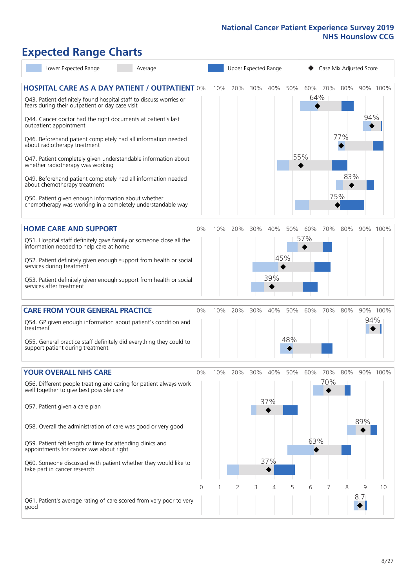# **Expected Range Charts**

| Lower Expected Range<br>Average                                                                                                                                                |    |     |     |     | Upper Expected Range |     |     | Case Mix Adjusted Score |     |     |          |
|--------------------------------------------------------------------------------------------------------------------------------------------------------------------------------|----|-----|-----|-----|----------------------|-----|-----|-------------------------|-----|-----|----------|
| <b>HOSPITAL CARE AS A DAY PATIENT / OUTPATIENT 0%</b><br>Q43. Patient definitely found hospital staff to discuss worries or<br>fears during their outpatient or day case visit |    | 10% | 20% | 30% | 40%                  | 50% | 64% | 60% 70%                 | 80% |     | 90% 100% |
| Q44. Cancer doctor had the right documents at patient's last<br>outpatient appointment                                                                                         |    |     |     |     |                      |     |     |                         |     | 94% |          |
| Q46. Beforehand patient completely had all information needed<br>about radiotherapy treatment                                                                                  |    |     |     |     |                      |     |     |                         | 77% |     |          |
| Q47. Patient completely given understandable information about<br>whether radiotherapy was working                                                                             |    |     |     |     |                      |     | 55% |                         |     |     |          |
| Q49. Beforehand patient completely had all information needed<br>about chemotherapy treatment                                                                                  |    |     |     |     |                      |     |     |                         | 83% |     |          |
| Q50. Patient given enough information about whether<br>chemotherapy was working in a completely understandable way                                                             |    |     |     |     |                      |     |     | 75%                     |     |     |          |
| <b>HOME CARE AND SUPPORT</b>                                                                                                                                                   | 0% | 10% | 20% | 30% | 40%                  | 50% | 60% | 70%                     | 80% |     | 90% 100% |
| Q51. Hospital staff definitely gave family or someone close all the<br>information needed to help care at home                                                                 |    |     |     |     |                      |     | 57% |                         |     |     |          |
| Q52. Patient definitely given enough support from health or social<br>services during treatment                                                                                |    |     |     |     | 45%                  |     |     |                         |     |     |          |
| Q53. Patient definitely given enough support from health or social<br>services after treatment                                                                                 |    |     |     |     | 39%                  |     |     |                         |     |     |          |
| <b>CARE FROM YOUR GENERAL PRACTICE</b>                                                                                                                                         | 0% | 10% | 20% | 30% | 40%                  | 50% | 60% | 70%                     | 80% |     | 90% 100% |
| Q54. GP given enough information about patient's condition and<br>treatment                                                                                                    |    |     |     |     |                      |     |     |                         |     | 94% |          |
| Q55. General practice staff definitely did everything they could to<br>support patient during treatment                                                                        |    |     |     |     |                      | 48% |     |                         |     |     |          |
| <b>YOUR OVERALL NHS CARE</b>                                                                                                                                                   | 0% | 10% | 20% | 30% | 40%                  | 50% | 60% | 70%                     | 80% |     | 90% 100% |
| Q56. Different people treating and caring for patient always work<br>well together to give best possible care                                                                  |    |     |     |     |                      |     |     | 70%                     |     |     |          |
| Q57. Patient given a care plan                                                                                                                                                 |    |     |     |     | 37%                  |     |     |                         |     |     |          |
| Q58. Overall the administration of care was good or very good                                                                                                                  |    |     |     |     |                      |     |     |                         |     | 89% |          |
| Q59. Patient felt length of time for attending clinics and<br>appointments for cancer was about right                                                                          |    |     |     |     |                      |     | 63% |                         |     |     |          |
| Q60. Someone discussed with patient whether they would like to<br>take part in cancer research                                                                                 |    |     |     |     | 37%                  |     |     |                         |     |     |          |
|                                                                                                                                                                                | 0  |     | 2   | 3   | 4                    | 5   | 6   |                         | 8   | 9   | 10       |
| Q61. Patient's average rating of care scored from very poor to very<br>good                                                                                                    |    |     |     |     |                      |     |     |                         |     | 8.7 |          |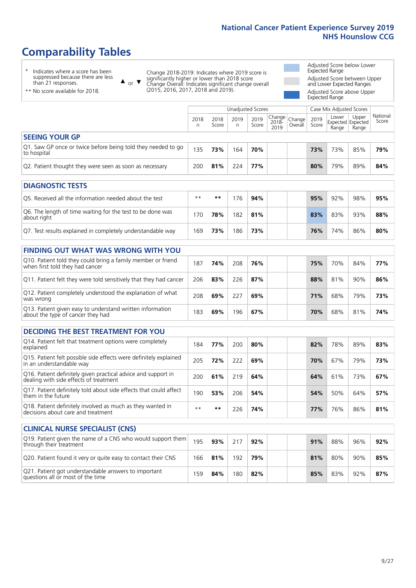# **Comparability Tables**

\* Indicates where a score has been suppressed because there are less than 21 responses.

\*\* No score available for 2018.

 $\triangle$  or  $\nabla$ 

Change 2018-2019: Indicates where 2019 score is significantly higher or lower than 2018 score Change Overall: Indicates significant change overall (2015, 2016, 2017, 2018 and 2019).

Adjusted Score below Lower Expected Range Adjusted Score between Upper and Lower Expected Ranges Adjusted Score above Upper Expected Range

|                                                                             | Case Mix Adjusted Scores<br>Unadjusted Scores |               |           |               |                                                  |         |               |                |                                     |                   |
|-----------------------------------------------------------------------------|-----------------------------------------------|---------------|-----------|---------------|--------------------------------------------------|---------|---------------|----------------|-------------------------------------|-------------------|
|                                                                             | 2018<br>n                                     | 2018<br>Score | 2019<br>n | 2019<br>Score | $\sqrt{(\text{Change})}$ Change<br>2018-<br>2019 | Overall | 2019<br>Score | Lower<br>Range | Upper<br>Expected Expected<br>Range | National<br>Score |
| <b>SEEING YOUR GP</b>                                                       |                                               |               |           |               |                                                  |         |               |                |                                     |                   |
| Q1. Saw GP once or twice before being told they needed to go<br>to hospital | 135                                           | 73%           | 164       | 70%           |                                                  |         | 73%           | 73%            | 85%                                 | 79%               |
| Q2. Patient thought they were seen as soon as necessary                     | 200                                           | 81%           | 224       | 77%           |                                                  |         | 80%           | 79%            | 89%                                 | 84%               |
| <b>DIAGNOSTIC TESTS</b>                                                     |                                               |               |           |               |                                                  |         |               |                |                                     |                   |

| <b>PIAGNOSTIC ILSTS</b>                                                   |      |     |     |     |  |     |     |     |     |
|---------------------------------------------------------------------------|------|-----|-----|-----|--|-----|-----|-----|-----|
| Q5. Received all the information needed about the test                    | $**$ | **  | 76  | 94% |  | 95% | 92% | 98% | 95% |
| Q6. The length of time waiting for the test to be done was<br>about right | 170  | 78% | 182 | 81% |  | 83% | 83% | 93% | 88% |
| Q7. Test results explained in completely understandable way               | 169  | 73% | 186 | 73% |  | 76% | 74% | 86% | 80% |

| <b>FINDING OUT WHAT WAS WRONG WITH YOU</b>                                                      |     |     |     |     |            |     |     |     |
|-------------------------------------------------------------------------------------------------|-----|-----|-----|-----|------------|-----|-----|-----|
| Q10. Patient told they could bring a family member or friend<br>when first told they had cancer | 187 | 74% | 208 | 76% | 75%        | 70% | 84% | 77% |
| Q11. Patient felt they were told sensitively that they had cancer                               | 206 | 83% | 226 | 87% | 88%        | 81% | 90% | 86% |
| Q12. Patient completely understood the explanation of what<br>was wrong                         | 208 | 69% | 227 | 69% | <b>71%</b> | 68% | 79% | 73% |
| Q13. Patient given easy to understand written information<br>about the type of cancer they had  | 183 | 69% | 196 | 67% | 70%        | 68% | 81% | 74% |

| <b>DECIDING THE BEST TREATMENT FOR YOU</b>                                                              |      |      |     |     |  |     |     |     |     |
|---------------------------------------------------------------------------------------------------------|------|------|-----|-----|--|-----|-----|-----|-----|
| Q14. Patient felt that treatment options were completely<br>explained                                   | 184  | 77%  | 200 | 80% |  | 82% | 78% | 89% | 83% |
| Q15. Patient felt possible side effects were definitely explained<br>in an understandable way           | 205  | 72%  | 222 | 69% |  | 70% | 67% | 79% | 73% |
| Q16. Patient definitely given practical advice and support in<br>dealing with side effects of treatment | 200  | 61%  | 219 | 64% |  | 64% | 61% | 73% | 67% |
| Q17. Patient definitely told about side effects that could affect<br>them in the future                 | 190  | 53%  | 206 | 54% |  | 54% | 50% | 64% | 57% |
| Q18. Patient definitely involved as much as they wanted in<br>decisions about care and treatment        | $**$ | $**$ | 226 | 74% |  | 77% | 76% | 86% | 81% |

| <b>CLINICAL NURSE SPECIALIST (CNS)</b>                                                    |     |     |     |     |  |     |     |     |     |
|-------------------------------------------------------------------------------------------|-----|-----|-----|-----|--|-----|-----|-----|-----|
| Q19. Patient given the name of a CNS who would support them<br>through their treatment    | 195 | 93% | 217 | 92% |  | 91% | 88% | 96% | 92% |
| Q20. Patient found it very or quite easy to contact their CNS                             | 166 | 81% | 192 | 79% |  | 81% | 80% | 90% | 85% |
| Q21. Patient got understandable answers to important<br>questions all or most of the time | 159 | 84% | 180 | 82% |  | 85% | 83% | 92% | 87% |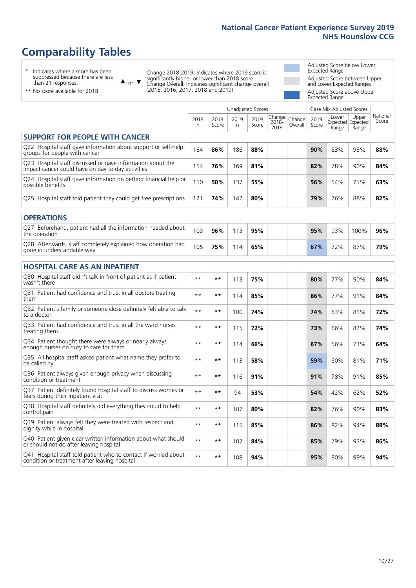# **Comparability Tables**

\* Indicates where a score has been suppressed because there are less than 21 responses.

\*\* No score available for 2018.

 $\triangle$  or  $\nabla$ 

Change 2018-2019: Indicates where 2019 score is significantly higher or lower than 2018 score Change Overall: Indicates significant change overall (2015, 2016, 2017, 2018 and 2019).

Adjusted Score below Lower Expected Range Adjusted Score between Upper and Lower Expected Ranges Adjusted Score above Upper Expected Range

|                                                                                                                   |              |               |            | Unadjusted Scores |                         |                   |               | Case Mix Adjusted Scores            |                |                   |
|-------------------------------------------------------------------------------------------------------------------|--------------|---------------|------------|-------------------|-------------------------|-------------------|---------------|-------------------------------------|----------------|-------------------|
|                                                                                                                   | 2018<br>n    | 2018<br>Score | 2019<br>n. | 2019<br>Score     | Change<br>2018-<br>2019 | Change<br>Overall | 2019<br>Score | Lower<br>Expected Expected<br>Range | Upper<br>Range | National<br>Score |
| <b>SUPPORT FOR PEOPLE WITH CANCER</b>                                                                             |              |               |            |                   |                         |                   |               |                                     |                |                   |
| Q22. Hospital staff gave information about support or self-help<br>groups for people with cancer                  | 164          | 86%           | 186        | 88%               |                         |                   | 90%           | 83%                                 | 93%            | 88%               |
| Q23. Hospital staff discussed or gave information about the<br>impact cancer could have on day to day activities  | 154          | 76%           | 169        | 81%               |                         |                   | 82%           | 78%                                 | 90%            | 84%               |
| Q24. Hospital staff gave information on getting financial help or<br>possible benefits                            | 110          | 50%           | 137        | 55%               |                         |                   | 56%           | 54%                                 | 71%            | 63%               |
| Q25. Hospital staff told patient they could get free prescriptions                                                | 121          | 74%           | 142        | 80%               |                         |                   | 79%           | 76%                                 | 88%            | 82%               |
| <b>OPERATIONS</b>                                                                                                 |              |               |            |                   |                         |                   |               |                                     |                |                   |
| Q27. Beforehand, patient had all the information needed about<br>the operation                                    | 103          | 96%           | 113        | 95%               |                         |                   | 95%           | 93%                                 | 100%           | 96%               |
| Q28. Afterwards, staff completely explained how operation had<br>gone in understandable way                       | 105          | 75%           | 114        | 65%               |                         |                   | 67%           | 72%                                 | 87%            | 79%               |
| <b>HOSPITAL CARE AS AN INPATIENT</b>                                                                              |              |               |            |                   |                         |                   |               |                                     |                |                   |
| Q30. Hospital staff didn't talk in front of patient as if patient<br>wasn't there                                 | $* *$        | **            | 113        | 75%               |                         |                   | 80%           | 77%                                 | 90%            | 84%               |
| Q31. Patient had confidence and trust in all doctors treating<br>them                                             | $**$         | **            | 114        | 85%               |                         |                   | 86%           | 77%                                 | 91%            | 84%               |
| Q32. Patient's family or someone close definitely felt able to talk<br>to a doctor                                | $* *$        | **            | 100        | 74%               |                         |                   | 74%           | 63%                                 | 81%            | 72%               |
| O33. Patient had confidence and trust in all the ward nurses<br>treating them                                     | $**$         | **            | 115        | 72%               |                         |                   | 73%           | 66%                                 | 82%            | 74%               |
| Q34. Patient thought there were always or nearly always<br>enough nurses on duty to care for them                 | $**$         | **            | 114        | 66%               |                         |                   | 67%           | 56%                                 | 73%            | 64%               |
| Q35. All hospital staff asked patient what name they prefer to<br>be called by                                    | $\star\star$ | **            | 113        | 58%               |                         |                   | 59%           | 60%                                 | 81%            | 71%               |
| Q36. Patient always given enough privacy when discussing<br>condition or treatment                                | $* *$        | **            | 116        | 91%               |                         |                   | 91%           | 78%                                 | 91%            | 85%               |
| Q37. Patient definitely found hospital staff to discuss worries or<br>fears during their inpatient visit          | $\star\star$ | **            | 94         | 53%               |                         |                   | 54%           | 42%                                 | 62%            | 52%               |
| Q38. Hospital staff definitely did everything they could to help<br>control pain                                  | $* *$        | **            | 107        | 80%               |                         |                   | 82%           | 76%                                 | 90%            | 83%               |
| Q39. Patient always felt they were treated with respect and<br>dignity while in hospital                          | $\star\star$ | **            | 115        | 85%               |                         |                   | 86%           | 82%                                 | 94%            | 88%               |
| Q40. Patient given clear written information about what should<br>or should not do after leaving hospital         | $**$         | **            | 107        | 84%               |                         |                   | 85%           | 79%                                 | 93%            | 86%               |
| Q41. Hospital staff told patient who to contact if worried about<br>condition or treatment after leaving hospital | $**$         | **            | 108        | 94%               |                         |                   | 95%           | 90%                                 | 99%            | 94%               |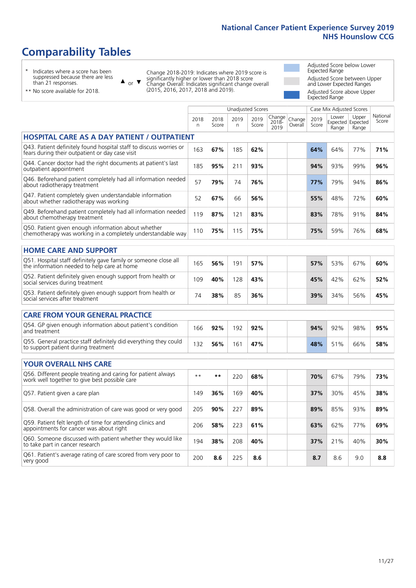# **Comparability Tables**

\* Indicates where a score has been suppressed because there are less than 21 responses.

\*\* No score available for 2018.

 $\triangle$  or  $\nabla$ 

Change 2018-2019: Indicates where 2019 score is significantly higher or lower than 2018 score Change Overall: Indicates significant change overall (2015, 2016, 2017, 2018 and 2019).

Adjusted Score below Lower Expected Range Adjusted Score between Upper and Lower Expected Ranges Adjusted Score above Upper Expected Range

|                                                                                                                       |            |               |            | <b>Unadjusted Scores</b> |                         |                   |               | Case Mix Adjusted Scores |                                     |                   |
|-----------------------------------------------------------------------------------------------------------------------|------------|---------------|------------|--------------------------|-------------------------|-------------------|---------------|--------------------------|-------------------------------------|-------------------|
|                                                                                                                       | 2018<br>n. | 2018<br>Score | 2019<br>n. | 2019<br>Score            | Change<br>2018-<br>2019 | Change<br>Overall | 2019<br>Score | Lower<br>Range           | Upper<br>Expected Expected<br>Range | National<br>Score |
| <b>HOSPITAL CARE AS A DAY PATIENT / OUTPATIENT</b>                                                                    |            |               |            |                          |                         |                   |               |                          |                                     |                   |
| Q43. Patient definitely found hospital staff to discuss worries or<br>fears during their outpatient or day case visit | 163        | 67%           | 185        | 62%                      |                         |                   | 64%           | 64%                      | 77%                                 | 71%               |
| Q44. Cancer doctor had the right documents at patient's last<br>outpatient appointment                                | 185        | 95%           | 211        | 93%                      |                         |                   | 94%           | 93%                      | 99%                                 | 96%               |
| Q46. Beforehand patient completely had all information needed<br>about radiotherapy treatment                         | 57         | 79%           | 74         | 76%                      |                         |                   | 77%           | 79%                      | 94%                                 | 86%               |
| Q47. Patient completely given understandable information<br>about whether radiotherapy was working                    | 52         | 67%           | 66         | 56%                      |                         |                   | 55%           | 48%                      | 72%                                 | 60%               |
| Q49. Beforehand patient completely had all information needed<br>about chemotherapy treatment                         | 119        | 87%           | 121        | 83%                      |                         |                   | 83%           | 78%                      | 91%                                 | 84%               |
| Q50. Patient given enough information about whether<br>chemotherapy was working in a completely understandable way    | 110        | 75%           | 115        | 75%                      |                         |                   | 75%           | 59%                      | 76%                                 | 68%               |
| <b>HOME CARE AND SUPPORT</b>                                                                                          |            |               |            |                          |                         |                   |               |                          |                                     |                   |
| Q51. Hospital staff definitely gave family or someone close all<br>the information needed to help care at home        | 165        | 56%           | 191        | 57%                      |                         |                   | 57%           | 53%                      | 67%                                 | 60%               |
| Q52. Patient definitely given enough support from health or<br>social services during treatment                       | 109        | 40%           | 128        | 43%                      |                         |                   | 45%           | 42%                      | 62%                                 | 52%               |
| Q53. Patient definitely given enough support from health or<br>social services after treatment                        | 74         | 38%           | 85         | 36%                      |                         |                   | 39%           | 34%                      | 56%                                 | 45%               |
| <b>CARE FROM YOUR GENERAL PRACTICE</b>                                                                                |            |               |            |                          |                         |                   |               |                          |                                     |                   |
| Q54. GP given enough information about patient's condition<br>and treatment                                           | 166        | 92%           | 192        | 92%                      |                         |                   | 94%           | 92%                      | 98%                                 | 95%               |
| Q55. General practice staff definitely did everything they could<br>to support patient during treatment               | 132        | 56%           | 161        | 47%                      |                         |                   | 48%           | 51%                      | 66%                                 | 58%               |
| <b>YOUR OVERALL NHS CARE</b>                                                                                          |            |               |            |                          |                         |                   |               |                          |                                     |                   |
| Q56. Different people treating and caring for patient always<br>work well together to give best possible care         | $***$      | $***$         | 220        | 68%                      |                         |                   | 70%           | 67%                      | 79%                                 | 73%               |
| Q57. Patient given a care plan                                                                                        | 149        | 36%           | 169        | 40%                      |                         |                   | 37%           | 30%                      | 45%                                 | 38%               |
| Q58. Overall the administration of care was good or very good                                                         | 205        | 90%           | 227        | 89%                      |                         |                   | 89%           | 85%                      | 93%                                 | 89%               |
| Q59. Patient felt length of time for attending clinics and<br>appointments for cancer was about right                 | 206        | 58%           | 223        | 61%                      |                         |                   | 63%           | 62%                      | 77%                                 | 69%               |
| Q60. Someone discussed with patient whether they would like<br>to take part in cancer research                        | 194        | 38%           | 208        | 40%                      |                         |                   | 37%           | 21%                      | 40%                                 | 30%               |
| Q61. Patient's average rating of care scored from very poor to<br>very good                                           | 200        | 8.6           | 225        | 8.6                      |                         |                   | 8.7           | 8.6                      | 9.0                                 | 8.8               |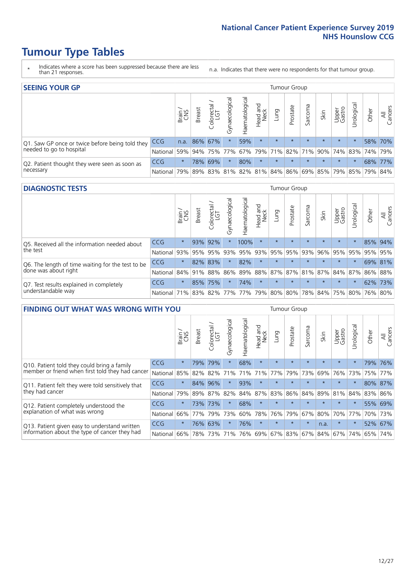# **Tumour Type Tables**

- \* Indicates where a score has been suppressed because there are less than 21 responses.
- n.a. Indicates that there were no respondents for that tumour group.

| <b>SEEING YOUR GP</b>                           |            |              |               |            |                    |                |                  |         | Tumour Group |         |         |                 |                                                           |         |                |
|-------------------------------------------------|------------|--------------|---------------|------------|--------------------|----------------|------------------|---------|--------------|---------|---------|-----------------|-----------------------------------------------------------|---------|----------------|
|                                                 |            | Brain<br>CNS | <b>Breast</b> | Colorectal | ᠊ᢛ<br>Gynaecologic | Haematological | Head and<br>Neck | Lung    | Prostate     | Sarcoma | Skin    | Upper<br>Gastro | $\sigma$<br>Irologica                                     | Other   | All<br>Cancers |
| Q1. Saw GP once or twice before being told they | CCG        | n.a.         |               | 86% 67%    | $\star$            | 59%            | $\star$          | $\star$ | $\star$      | $\star$ | $\star$ | $\star$         |                                                           |         | 58% 70%        |
| needed to go to hospital                        | National   | 59%          |               |            | 94% 75% 77%        |                |                  |         |              |         |         |                 | 67%   79%   71%   82%   71%   90%   74%   83%   74%   79% |         |                |
| Q2. Patient thought they were seen as soon as   | <b>CCG</b> | $\star$      |               | 78% 69%    | $\star$            | 80%            | $\star$          | $\star$ | $\star$      | $\star$ | $\star$ | $\star$         | $\star$                                                   | 68% 77% |                |
| necessary                                       | National   | 79%          |               | 89% 83%    |                    |                |                  |         |              |         |         |                 | 81%   82%   81%   84%   86%   69%   85%   79%   85%   79% |         | 84%            |

#### **DIAGNOSTIC TESTS** Tumour Group

|                                                   |                                                                  | Brain   | <b>Breast</b> | Colorectal<br>LGT | $\overline{\sigma}$<br>Gynaecologic | Haematological | Head and<br>Neck | Lung    | Prostate | Sarcoma | Skin    | Upper<br>Gastro | Irological                                  | Other | All<br>Cancers |
|---------------------------------------------------|------------------------------------------------------------------|---------|---------------|-------------------|-------------------------------------|----------------|------------------|---------|----------|---------|---------|-----------------|---------------------------------------------|-------|----------------|
| Q5. Received all the information needed about     | <b>CCG</b>                                                       | $\star$ |               | 93% 92%           |                                     | 100%           | $\star$          | $\star$ | $\star$  | $\star$ | $\star$ | $\star$         |                                             |       | 85% 94%        |
| the test                                          | National                                                         | 93%     | 95%           | 95%               | 93%                                 | 95% 93% 95%    |                  |         | 95%      | 93%     | 96%     | 95%             | 95%                                         | 95%   | 95%            |
| Q6. The length of time waiting for the test to be | <b>CCG</b>                                                       | $\star$ |               | 82% 83%           | $\star$                             | 82%            | $\star$          | $\star$ | $\star$  | $\star$ | $\star$ | $\star$         | $\star$                                     |       | 69% 81%        |
| done was about right                              | National 84% 91%                                                 |         |               | 88%               |                                     |                |                  |         |          |         |         |                 | 86% 89% 88% 87% 87% 81% 87% 84% 87% 86% 88% |       |                |
| Q7. Test results explained in completely          | <b>CCG</b>                                                       | $\star$ |               | 85% 75%           |                                     | 74%            | $\star$          | $\star$ | $\star$  | $\star$ | $\star$ | $\star$         | $\star$                                     |       | 62% 73%        |
| understandable way                                | National 71% 83% 82% 77% 77% 79% 80% 80% 78% 84% 75% 80% 76% 80% |         |               |                   |                                     |                |                  |         |          |         |         |                 |                                             |       |                |

| <b>FINDING OUT WHAT WAS WRONG WITH YOU</b>        |            |         |               |                 |                |                |                        |             | <b>Tumour Group</b> |         |         |                 |           |         |                |
|---------------------------------------------------|------------|---------|---------------|-----------------|----------------|----------------|------------------------|-------------|---------------------|---------|---------|-----------------|-----------|---------|----------------|
|                                                   |            | Brain   | <b>Breast</b> | ╮<br>Colorectal | Gynaecological | Haematological | ad and<br>Neck<br>Head | Lung        | Prostate            | Sarcoma | Skin    | Upper<br>Gastro | Jrologica | Other   | All<br>Cancers |
| Q10. Patient told they could bring a family       | <b>CCG</b> | $\star$ | 79%           | 79%             | $\star$        | 68%            | $\star$                | $\star$     | $\star$             | $\star$ | $\star$ | $\star$         | $\star$   | 79%     | 76%            |
| member or friend when first told they had cancer  | National   | 85%     | 82%           | 82%             | 71%            | 71%            | 71%                    | 77%         | 79%                 | 73%     | 69%     | 76%             | 73%       | 75%     | 77%            |
| Q11. Patient felt they were told sensitively that | CCG        | $\star$ | 84%           | 96%             | $\star$        | 93%            | $\star$                | $\star$     | $\star$             | $\star$ | $\star$ | $\star$         | $\star$   |         | 80% 87%        |
| they had cancer                                   | National   | 79%     | 89%           | 87%             | 82%            | 84%            | 87%                    | 83%         | 86%                 | 84%     | 89%     | 81%             | 84%       | 83% 86% |                |
| Q12. Patient completely understood the            | CCG        | $\star$ | 73%           | 173%            | $\star$        | 68%            | $\star$                | $\star$     | $\star$             |         | $\star$ | $\star$         | $\star$   | 55%     | 69%            |
| explanation of what was wrong                     | National   | 66%     | 77%           | 79%             | 73%            | 60%            | 78%                    | 76%         | 79%                 | 67%     | 80%     | 70%             | 77%       | 70%     | 73%            |
| Q13. Patient given easy to understand written     | <b>CCG</b> | $\star$ |               | 76% 63%         | $\star$        | 76%            | $\ast$                 | $\star$     | $\star$             | $\star$ | n.a.    | $\star$         | $\star$   | 52%     | 67%            |
| information about the type of cancer they had     | National   | 66%     |               | 78% 73%         | 71%            | 76%            |                        | 69% 67% 83% |                     |         | 67% 84% | 67%             | 74%       | 65%     | 74%            |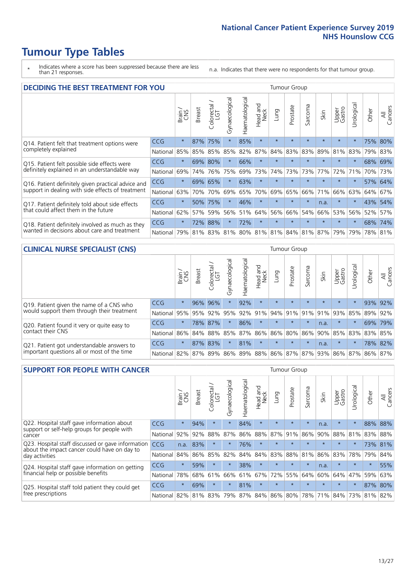# **Tumour Type Tables**

- \* Indicates where a score has been suppressed because there are less than 21 responses.
- n.a. Indicates that there were no respondents for that tumour group.

| <b>DECIDING THE BEST TREATMENT FOR YOU</b>         |            |              |               |                             |                |                |                        |         | <b>Tumour Group</b> |              |                                         |                 |            |         |                |
|----------------------------------------------------|------------|--------------|---------------|-----------------------------|----------------|----------------|------------------------|---------|---------------------|--------------|-----------------------------------------|-----------------|------------|---------|----------------|
|                                                    |            | Brain<br>CNS | <b>Breast</b> | olorectal.<br>LGT<br>$\cup$ | Gynaecological | Haematological | ad and<br>Neck<br>Head | Lung    | Prostate            | arcoma<br>vĀ | Skin                                    | Upper<br>Gastro | Jrological | Other   | All<br>Cancers |
| Q14. Patient felt that treatment options were      | CCG        | $\star$      | 87%           | 75%                         | $\star$        | 85%            | $\star$                | $\star$ | $\star$             | 大            | $\star$                                 | $\star$         | $\star$    | 75%     | 80%            |
| completely explained                               | National   | 85%          | 85%           | 85%                         | 85%            | 82%            | 87%                    | 84%     | 83%                 | 83%          | 89%                                     | 81%             | 83%        | 79%     | 83%            |
| Q15. Patient felt possible side effects were       | CCG        | $\star$      | 69%           | 80%                         | $\star$        | 66%            | $\star$                | $\star$ | $\star$             |              |                                         | $\star$         | $\star$    | 68%     | 69%            |
| definitely explained in an understandable way      | National   | 69%          | 74%           | 76%                         | 75%            | 69%            | 73%                    | 74%     | 73%                 | 73%          | 77%                                     | 72%             | 71%        | 70%     | 73%            |
| Q16. Patient definitely given practical advice and | <b>CCG</b> | $\star$      |               | 69% 65%                     | $\star$        | 63%            | $\star$                | $\star$ | $\star$             | $\star$      | $\star$                                 | $\star$         | $\star$    |         | 57% 64%        |
| support in dealing with side effects of treatment  | National   | 63%          | 70%           | 70%                         | 69%            | 65%            | 70%                    | 69%     | 65%                 | 66%          | 71%                                     | 66%             | 63%        | 64%     | 67%            |
| Q17. Patient definitely told about side effects    | CCG        | $\star$      | 50%           | 75%                         | $\star$        | 46%            | $\star$                | $\star$ | $\star$             | $\star$      | n.a.                                    | $\star$         | $^\star$   | 43%     | 54%            |
| that could affect them in the future               | National   | 62%          | 57%           | 59%                         | 56%            | 51%            | 64%                    | 56%     | 66%                 | 54%          | 66%                                     | 53%             | 56%        | 52%     | 57%            |
| Q18. Patient definitely involved as much as they   | <b>CCG</b> | $\star$      | 72%           | 88%                         |                | 72%            | $\star$                | $\star$ | $\star$             | $\star$      | $\star$                                 | $\star$         | $^\star$   | 68%     | 74%            |
| wanted in decisions about care and treatment       | National   | 79%          |               |                             |                |                |                        |         |                     |              | 81% 83% 81% 80% 81% 81% 84% 81% 87% 79% |                 | 79%        | 78% 81% |                |

#### **CLINICAL NURSE SPECIALIST (CNS)** Tumour Group

|                                             |          | Brain           | <b>Breast</b>   | Colorectal<br>LGT | Gynaecologica | శా<br>aematologi | Head and<br>Neck | Lung                              | Prostate | Sarcoma | Skin    | Upper<br>Gastro | rological | Other | All<br>Cancers |
|---------------------------------------------|----------|-----------------|-----------------|-------------------|---------------|------------------|------------------|-----------------------------------|----------|---------|---------|-----------------|-----------|-------|----------------|
| Q19. Patient given the name of a CNS who    | CCG      | $\star$         | 96%             | 96%               |               | 92%              | $\star$          | $\star$                           | $\star$  | $\star$ | $\star$ | $\star$         |           |       | 93% 92%        |
| would support them through their treatment  | National | 95%             | 95%             | 92%               | 95%           | 92%              | 91%              |                                   | 94% 91%  | 91%     | 91%     | 93%             | 85%       | 89%   | 92%            |
| Q20. Patient found it very or quite easy to | CCG      | $\star$         |                 | 78% 87%           |               | 86%              | $\star$          | $\star$                           | $\star$  | $\star$ | n.a.    | $\star$         |           |       | 69% 79%        |
| contact their CNS                           | National |                 | 86% 84% 88% 85% |                   |               | 87%              | 86%              | 86% 80%                           |          |         | 86% 90% | 85%             | 83%       | 83%   | 85%            |
| Q21. Patient got understandable answers to  | CCG      | $\star$         | 87% 83%         |                   |               | 81%              | $\star$          | $\star$                           | $\star$  | $\star$ | n.a.    | $\star$         | $\star$   |       | 78% 82%        |
| important questions all or most of the time | National | 82% 87% 89% 86% |                 |                   |               |                  |                  | 89%   88%   86%   87%   87%   93% |          |         |         | 86% 87%         |           | 86%   | 87%            |

| <b>SUPPORT FOR PEOPLE WITH CANCER</b>                                                             |            |         |               |            |                |                |                         |             | <b>Tumour Group</b> |         |         |                 |            |        |                |
|---------------------------------------------------------------------------------------------------|------------|---------|---------------|------------|----------------|----------------|-------------------------|-------------|---------------------|---------|---------|-----------------|------------|--------|----------------|
|                                                                                                   |            | Brain   | <b>Breast</b> | Colorectal | Gynaecological | Haematological | ead and<br>Neck<br>Head | Lung        | Prostate            | Sarcoma | Skin    | Upper<br>Gastro | Jrological | Other  | All<br>Cancers |
| Q22. Hospital staff gave information about<br>support or self-help groups for people with         | <b>CCG</b> | $\star$ | 94%           | $\star$    | $\star$        | 84%            | $\star$                 | $\star$     | $\star$             | $\star$ | n.a.    | $\star$         | $\star$    | 88%    | 88%            |
| cancer                                                                                            | National   | 92%     | 92%           | 88%        | 87%            | 86%            | 88%                     | 87%         | 91%                 | 86%     | 90%     | 88%             | 81%        | 83%    | 88%            |
| Q23. Hospital staff discussed or gave information<br>about the impact cancer could have on day to | CCG.       | n.a.    | 83%           | $\star$    | $\star$        | 76%            | $\star$                 | $\star$     | $\star$             | $\star$ | $\star$ | $\star$         | $\star$    | 73%    | 81%            |
| day activities                                                                                    | National   | 84%     | 86%           | 85%        | 82%            | 84%            | 84%                     | 83%         | 88%                 | 81%     | 86%     | 83%             | 78%        | 79%    | 84%            |
| Q24. Hospital staff gave information on getting                                                   | CCG        | $\star$ | 59%           | $\star$    | $\star$        | 38%            | $\star$                 | $\star$     | $\star$             | $\star$ | n.a.    | $\star$         | $\star$    | $\ast$ | 55%            |
| financial help or possible benefits                                                               | National   | 78%     | 68%           | 61%        | 66%            | 61%            | 67%                     | 72%         | 55%                 | 64%     | 60%     | 64%             | 47%        | 59%    | 63%            |
| Q25. Hospital staff told patient they could get                                                   | CCG        | $\star$ | 69%           | $\star$    | $\star$        | 81%            | $\star$                 | $\star$     | $\star$             | $\star$ | $\star$ | $\star$         | $\star$    |        | 87% 80%        |
| free prescriptions                                                                                | National   | 82%     | 81%           | 83%        | 79%            | 87%            |                         | 84% 86% 80% |                     | 78%     | 71%     | 84%             | 73%        | 81%    | 82%            |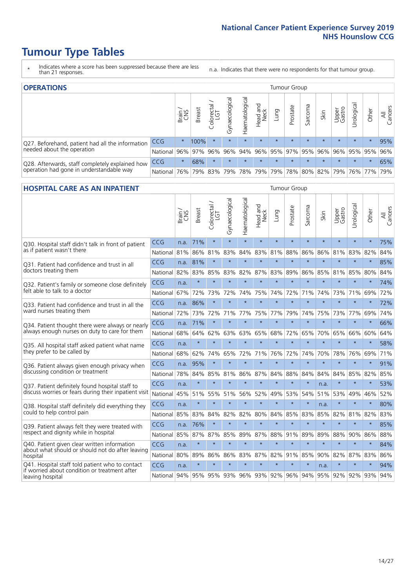# **Tumour Type Tables**

- \* Indicates where a score has been suppressed because there are less than 21 responses.
- n.a. Indicates that there were no respondents for that tumour group.

| <b>OPERATIONS</b>                                |                      |              |               |            |                                     |                 |                  |         | Tumour Group            |         |         |                 |                       |           |                |
|--------------------------------------------------|----------------------|--------------|---------------|------------|-------------------------------------|-----------------|------------------|---------|-------------------------|---------|---------|-----------------|-----------------------|-----------|----------------|
|                                                  |                      | Brain<br>CNS | <b>Breast</b> | Colorectal | $\overline{\sigma}$<br>Gynaecologic | Haematological  | Head and<br>Neck | Lung    | Prostate                | Sarcoma | Skin    | Upper<br>Gastro | $\sigma$<br>Jrologica | Other     | All<br>Cancers |
| Q27. Beforehand, patient had all the information | <b>CCG</b>           | $\star$      | 100%          | $\star$    | $\star$                             | $\star$         | $\star$          | $\star$ | $\star$                 | $\star$ | $\star$ | $\star$         | $\star$               | $\star$   | 95%            |
| needed about the operation                       | National 96% 97% 96% |              |               |            | 96%                                 |                 |                  |         | 94% 96% 95% 97% 95% 96% |         |         |                 | 96% 95% 95% 96%       |           |                |
| Q28. Afterwards, staff completely explained how  | <b>CCG</b>           | $\star$      | 68%           | $\star$    | $\star$                             | $\star$         | $\star$          | $\star$ | $\star$                 | $\star$ | $\star$ | $\star$         | $\star$               | $\star$   | 65%            |
| operation had gone in understandable way         | National             | 76%          |               | 79% 83%    |                                     | 79%   78%   79% |                  |         | 79% 78% 80% 82% 79%     |         |         |                 |                       | 76%   77% | 79%            |

#### **HOSPITAL CARE AS AN INPATIENT** Tumour Group

|                                                                                                  |            | Brain | <b>Breast</b> | $\frac{1}{2}$ Colorectal / | Gynaecological | Haematological          | Head and<br>Neck | Lung    | Prostate | Sarcoma | Skin    | Upper<br>Gastro | Urological  | Other   | Cancers<br>$\overline{\overline{z}}$ |
|--------------------------------------------------------------------------------------------------|------------|-------|---------------|----------------------------|----------------|-------------------------|------------------|---------|----------|---------|---------|-----------------|-------------|---------|--------------------------------------|
| Q30. Hospital staff didn't talk in front of patient                                              | CCG        | n.a.  | 71%           | $\star$                    | $\star$        | $\star$                 | $\star$          | $\star$ | $\star$  | $\star$ | $\star$ | $\star$         | $\star$     | $\star$ | 75%                                  |
| as if patient wasn't there                                                                       | National   | 81%   | 86%           | 81%                        | 83%            | 84%                     | 83%              | 81%     | 88%      | 86%     | 86%     | 81%             | 83%         | 82%     | 84%                                  |
| 031. Patient had confidence and trust in all                                                     | CCG        | n.a.  | 81%           | $\star$                    | $\star$        | $\star$                 | $\star$          | $\star$ | $\star$  | $\star$ | $\star$ | $\star$         | $\star$     | $\star$ | 85%                                  |
| doctors treating them                                                                            | National   | 82%   | 83%           | 85%                        | 83%            | 82%                     |                  | 87% 83% | 89%      | 86%     | 85%     | 81%             | 85%         | 80%     | 84%                                  |
| Q32. Patient's family or someone close definitely                                                | CCG        | n.a.  | $\star$       | $\star$                    | $\star$        | $\star$                 | $\star$          | $\star$ | $\star$  | $\star$ | $\star$ | $\star$         | $\star$     | $\star$ | 74%                                  |
| felt able to talk to a doctor                                                                    | National   | 67%   | 72%           | 73%                        | 72%            | 74%                     | 75%              | 74%     | 72%      | 71%     | 74%     | 73%             | 71%         | 69%     | 72%                                  |
| Q33. Patient had confidence and trust in all the                                                 | CCG        | n.a.  | 86%           | $\star$                    | $\star$        | $\star$                 | $\star$          | $\star$ | $\star$  | $\star$ | $\star$ | $\star$         | $\star$     | $\star$ | 72%                                  |
| ward nurses treating them                                                                        | National   | 72%   | 73%           | 72%                        |                | 71% 77%                 | 75%              | 77%     | 79%      | 74%     | 75%     | 73%             | 77%         | 69%     | 74%                                  |
| Q34. Patient thought there were always or nearly                                                 | CCG        | n.a.  | 71%           | $\star$                    | $\star$        | $\star$                 | $\star$          | $\star$ | $\star$  | $\star$ | $\star$ | $\star$         | $\star$     | $\star$ | 66%                                  |
| always enough nurses on duty to care for them                                                    | National   | 68%   | 64%           | 62%                        | 63%            | 63%                     | 65%              | 68%     | 72%      | 65%     | 70%     | 65%             | 66%         | 60%     | 64%                                  |
| Q35. All hospital staff asked patient what name                                                  | CCG        | n.a.  | $\star$       | $\star$                    | $\star$        | $\star$                 | $\star$          | $\star$ | $\star$  | $\star$ | $\star$ | $\star$         | $\star$     | $\star$ | 58%                                  |
| they prefer to be called by                                                                      | National   | 68%   | 62%           | 74%                        | 65%            | 72%                     |                  | 71% 76% | 72%      | 74%     | 70%     | 78%             | 76%         | 69%     | 71%                                  |
| Q36. Patient always given enough privacy when                                                    | CCG        | n.a.  | 95%           | $\star$                    | $\star$        | $\star$                 | $\star$          | $\star$ | $\star$  | $\star$ | $\star$ | $\star$         | $\star$     | $\star$ | 91%                                  |
| discussing condition or treatment                                                                | National   | 78%   | 84%           | 85%                        | 81%            | 86%                     |                  | 87% 84% | 88%      | 84%     | 84%     | 84%             | 85%         | 82%     | 85%                                  |
| Q37. Patient definitely found hospital staff to                                                  | <b>CCG</b> | n.a.  | $\star$       | $\star$                    | $\star$        | $\star$                 | $\star$          | $\star$ | $\star$  | $\star$ | n.a.    | $\star$         | $\star$     | $\star$ | 53%                                  |
| discuss worries or fears during their inpatient visit                                            | National   | 45%   | 51%           | 55%                        |                | 51% 56%                 | 52%              | 49%     | 53%      | 54%     | 51%     |                 | 53% 49%     | 46%     | 52%                                  |
| Q38. Hospital staff definitely did everything they                                               | CCG        | n.a.  | $\star$       | $\star$                    | $\star$        | $\star$                 | $\star$          | $\star$ | $\star$  | $\star$ | n.a.    | $\star$         | $\star$     | $\star$ | 80%                                  |
| could to help control pain                                                                       | National   | 85%   | 83%           | 84%                        | 82%            | 82%                     | 80%              | 84%     | 85%      | 83%     | 85%     | 82%             | 81%         | 82%     | 83%                                  |
| Q39. Patient always felt they were treated with                                                  | CCG        | n.a.  | 76%           | $\star$                    | $\star$        | $\star$                 | $\star$          | $\star$ | $\star$  | $\star$ | $\star$ | $\star$         | $\star$     | $\star$ | 85%                                  |
| respect and dignity while in hospital                                                            | National   | 85%   | 87%           | 87%                        | 85%            | 89%                     |                  | 87% 88% | 91%      | 89%     | 89%     | 88%             | 90%         | 86%     | 88%                                  |
| Q40. Patient given clear written information                                                     | CCG        | n.a.  | $\star$       | $\star$                    | $\star$        | $\star$                 | $\star$          | $\star$ | $\star$  | $\star$ | $\star$ | $\star$         | $\star$     | $\star$ | 84%                                  |
| about what should or should not do after leaving<br>hospital                                     | National   | 80%   | 89%           | 86%                        | 86%            | 83%                     |                  | 87% 82% | 91%      | 85%     | 90%     | 82%             | 87%         | 83%     | 86%                                  |
| Q41. Hospital staff told patient who to contact<br>if worried about condition or treatment after | CCG        | n.a.  | $\star$       | $\star$                    | $\star$        | $\star$                 | $\star$          | $\star$ | $\star$  | $\star$ | n.a.    | $\star$         | $\star$     | $\star$ | 94%                                  |
| leaving hospital                                                                                 | National I | 94%   |               |                            |                | 95% 95% 93% 96% 93% 92% |                  |         | 96%      | 94%     |         |                 | 95% 92% 92% | 93%     | 94%                                  |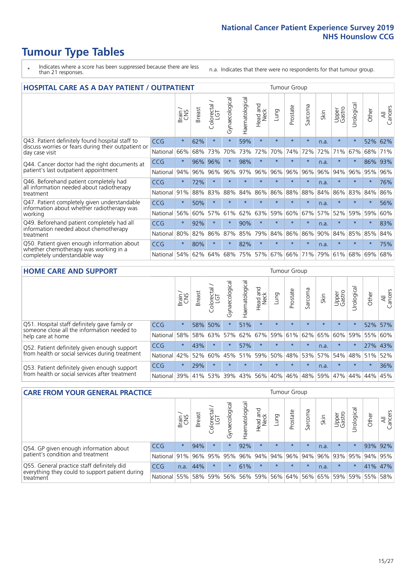# **Tumour Type Tables**

- \* Indicates where a score has been suppressed because there are less than 21 responses.
- n.a. Indicates that there were no respondents for that tumour group.

| <b>HOSPITAL CARE AS A DAY PATIENT / OUTPATIENT</b><br><b>Tumour Group</b>                                             |            |         |               |                       |                |                |                         |         |          |         |      |                 |            |         |                |
|-----------------------------------------------------------------------------------------------------------------------|------------|---------|---------------|-----------------------|----------------|----------------|-------------------------|---------|----------|---------|------|-----------------|------------|---------|----------------|
|                                                                                                                       |            | Brain   | <b>Breast</b> | olorectal<br>LGT<br>Ū | Gynaecological | Haematological | aad and<br>Neck<br>Head | Lung    | Prostate | Sarcoma | Skin | Upper<br>Gastro | Urological | Other   | All<br>Cancers |
| Q43. Patient definitely found hospital staff to                                                                       | CCG        | $\star$ | 62%           | $\star$               | $\star$        | 59%            | $\star$                 | $\star$ | $\star$  | $\star$ | n.a. | $\star$         | $\star$    | 52%     | 62%            |
| discuss worries or fears during their outpatient or<br>day case visit                                                 | National   | 66%     | 68%           | 73%                   | 70%            | 73%            | 72%                     | 70%     | 74%      | 72%     | 72%  | 71%             | 67%        | 68%     | 71%            |
| Q44. Cancer doctor had the right documents at<br>patient's last outpatient appointment                                | CCG        | $\star$ | 96%           | 96%                   | $\star$        | 98%            | $\star$                 | $\star$ | $\star$  | $\star$ | n.a. | $^\star$        | $\star$    | 86%     | 93%            |
|                                                                                                                       | National   | 94%     | 96%           | 96%                   | 96%            | 97%            | 96%                     | 96%     | 96%      | 96%     | 96%  | 94%             | 96%        | 95%     | 96%            |
| Q46. Beforehand patient completely had                                                                                | <b>CCG</b> | $\star$ | 72%           | $\star$               |                | $\star$        | $\star$                 | $\star$ | $\star$  | $\star$ | n.a. | $\star$         | $\star$    | $\star$ | 76%            |
| all information needed about radiotherapy<br>treatment                                                                | National   | 91%     | 88%           | 83%                   | 88%            | 84%            | 86%                     | 86%     | 88%      | 88%     | 84%  | 86%             | 83%        | 84%     | 86%            |
| Q47. Patient completely given understandable<br>information about whether radiotherapy was                            | <b>CCG</b> | $\star$ | 50%           | $\star$               | $\star$        | ÷              | $\star$                 | ÷       | $\star$  | $\star$ | n.a. | $\star$         | ÷          | $\star$ | 56%            |
| working                                                                                                               | National   | 56%     | 60%           | 57%                   | 61%            | 62%            | 63%                     | 59%     | 60%      | 67%     | 57%  | 52%             | 59%        | 59%     | 60%            |
| Q49. Beforehand patient completely had all                                                                            | CCG        | $\star$ | 92%           | $\star$               | $^\star$       | 90%            | $\star$                 | $\star$ | $\star$  | $\star$ | n.a. | $\star$         | ¥          | $\ast$  | 83%            |
| information needed about chemotherapy<br>treatment                                                                    | National   | 80%     | 82%           | 86%                   | 87%            | 85%            | 79%                     | 84%     | 86%      | 86%     | 90%  | 84%             | 85%        | 85%     | 84%            |
| Q50. Patient given enough information about<br>whether chemotherapy was working in a<br>completely understandable way | <b>CCG</b> | $\star$ | 80%           | $\star$               | $\star$        | 82%            | $\star$                 | $\star$ | $\star$  | $\star$ | n.a. | $\star$         |            | $\star$ | 75%            |
|                                                                                                                       | National   | 54%     | 62%           | 64%                   | 68%            | 75%            |                         | 57% 67% | 66%      | 71%     | 79%  | 61%             | 68%        | 69%     | 68%            |

#### **HOME CARE AND SUPPORT** Tumour Group

|                                                                                                                   |            | Brain   | <b>Breast</b> | Colorectal<br>LGT | ᠊ᢛ<br>Gynaecologic | Haematological | ad and<br>Neck<br>Head | <b>Dung</b> | Prostate | Sarcoma | Skin    | Upper<br>Gastro | Urological | Other   | All<br>Cancers |
|-------------------------------------------------------------------------------------------------------------------|------------|---------|---------------|-------------------|--------------------|----------------|------------------------|-------------|----------|---------|---------|-----------------|------------|---------|----------------|
| Q51. Hospital staff definitely gave family or<br>someone close all the information needed to<br>help care at home | <b>CCG</b> | $\star$ | 58%           | 50%               | $\star$            | 51%            | $\star$                | $\star$     | $\star$  | $\star$ | $\star$ | $\star$         | $\star$    | 52%     | 57%            |
|                                                                                                                   | National   | 58%     | 58%           | 63%               | 57%                | 62%            | 67%                    | 59%         | 61%      | 62%     | 65%     | 60%             | 59%        | 55%     | 60%            |
| Q52. Patient definitely given enough support<br>from health or social services during treatment                   | <b>CCG</b> | $\star$ | 43%           | $\star$           | $\star$            | 57%            | $\star$                | $\star$     | $\star$  | $\star$ | n.a.    | $\star$         | $\star$    | 27% 43% |                |
|                                                                                                                   | National   | 42%     | 52%           | 60%               |                    | 45% 51%        | 59%                    | 50%         | 48%      | 53%     | 57%     | 54%             | 48% 51%    |         | 52%            |
| Q53. Patient definitely given enough support<br>from health or social services after treatment                    | <b>CCG</b> | $\star$ | 29%           |                   | $\star$            | $\star$        | $\star$                | $\star$     | $\star$  | $\star$ | n.a.    | $\star$         | $\star$    | $\star$ | 36%            |
|                                                                                                                   | National   | 39%     |               | 41% 53%           | 39%                | 43%            | 56%                    | 40%         | 46%      | 48% 59% |         | 47%             | 44%        | 44%     | 45%            |

| <b>CARE FROM YOUR GENERAL PRACTICE</b>                                                                     |              |         |               |            |                |                |                             |         | <b>Tumour Group</b> |         |                         |                 |                       |         |                |  |  |  |  |  |
|------------------------------------------------------------------------------------------------------------|--------------|---------|---------------|------------|----------------|----------------|-----------------------------|---------|---------------------|---------|-------------------------|-----------------|-----------------------|---------|----------------|--|--|--|--|--|
|                                                                                                            |              | Brain,  | <b>Breast</b> | Colorectal | Gynaecological | Haematological | Head and<br>Neck            | Lung    | Prostate            | Sarcoma | Skin                    | Upper<br>Gastro | $\sigma$<br>Urologica | Other   | All<br>Cancers |  |  |  |  |  |
| Q54. GP given enough information about<br>patient's condition and treatment                                | <b>CCG</b>   | $\star$ | 94%           | $\star$    | $\star$        | 92%            | $\star$                     | $\star$ | $\star$             | $\star$ | n.a.                    | $\star$         | $^\star$              |         | 93% 92%        |  |  |  |  |  |
|                                                                                                            | National 91% |         |               | 96% 95%    | 95%            |                | 96% 94% 94% 96%             |         |                     |         | $ 94\% 96\% 93\% 95\% $ |                 |                       | 94% 95% |                |  |  |  |  |  |
| Q55. General practice staff definitely did<br>everything they could to support patient during<br>treatment | <b>CCG</b>   | n.a.    | 44%           |            | $\star$        | 61%            | $\star$                     | $\star$ | $\star$             | $\star$ | n.a.                    | $\star$         | $\star$               |         | 41% 47%        |  |  |  |  |  |
|                                                                                                            | National 55% |         |               | 58% 59%    | 56%            |                | 56% 59% 56% 64% 56% 65% 59% |         |                     |         |                         |                 |                       | 59% 55% | 58%            |  |  |  |  |  |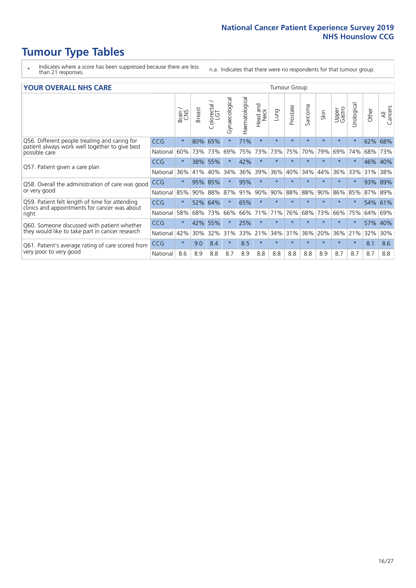# **Tumour Type Tables**

- \* Indicates where a score has been suppressed because there are less than 21 responses.
- n.a. Indicates that there were no respondents for that tumour group.

#### **YOUR OVERALL NHS CARE** THE TWO CONTROLLER THE THE THROUP CHANGE THE TUMOUR GROUP

|                                                                                                |            | Brain   | <b>Breast</b> | Colorectal<br>LGT | Gynaecological | Haematological | aad and<br>Neck<br>Head | Lung    | Prostate | Sarcoma | Skin    | Upper<br>Gastro | $\overline{c}$<br>Urologia | Other   | All<br>Cancers |  |  |  |  |  |  |
|------------------------------------------------------------------------------------------------|------------|---------|---------------|-------------------|----------------|----------------|-------------------------|---------|----------|---------|---------|-----------------|----------------------------|---------|----------------|--|--|--|--|--|--|
| Q56. Different people treating and caring for                                                  | <b>CCG</b> | $\star$ | 80%           | 65%               |                | 71%            | $\star$                 | $\star$ | $\star$  | $\star$ | $\star$ | $\star$         | $\star$                    | 62%     | 68%            |  |  |  |  |  |  |
| patient always work well together to give best<br>possible care                                | National   | 60%     |               | 73% 73%           | 69%            | 75%            | 73%                     | 73%     | 75%      | 70%     | 79%     | 69%             | 74%                        | 68%     | 73%            |  |  |  |  |  |  |
| Q57. Patient given a care plan                                                                 | <b>CCG</b> | $\star$ | 38% 55%       |                   |                | 42%            | $\star$                 | $\star$ | $\star$  | $\star$ | $\star$ | $\star$         | $\star$                    | 46% 40% |                |  |  |  |  |  |  |
|                                                                                                | National   | 36%     | 41%           | 40%               | 34%            | 36%            | 39%                     | 36%     | 40%      | 34%     | 44%     | 36%             | 33%                        | 31%     | 38%            |  |  |  |  |  |  |
| Q58. Overall the administration of care was good                                               | <b>CCG</b> | $\star$ | 95%           | 85%               |                | 95%            | $\star$                 | $\star$ | $\star$  | $\star$ | $\star$ | $\star$         |                            | 93% 89% |                |  |  |  |  |  |  |
| or very good                                                                                   | National   | 85%     | 90%           | 88%               | 87%            | 91%            | 90%                     | 90%     | 88%      | 88%     | 90%     | 86%             | 85%                        | 87% 89% |                |  |  |  |  |  |  |
| Q59. Patient felt length of time for attending                                                 | <b>CCG</b> | $\star$ | 52%           | 64%               | $\star$        | 65%            | $\star$                 | $\star$ | $\star$  | $\star$ | $\star$ | $\star$         | $\star$                    | $54\%$  | 61%            |  |  |  |  |  |  |
| clinics and appointments for cancer was about<br>right                                         | National   | 58%     | 68%           | 73%               | 66%            | 66%            | 71%                     | 71%     | 76%      | 68%     | 73%     | 66%             | 75%                        | 64%     | 69%            |  |  |  |  |  |  |
| Q60. Someone discussed with patient whether<br>they would like to take part in cancer research | <b>CCG</b> | $\star$ | 42%           | 55%               |                | 25%            | $\star$                 | $\star$ | $\star$  | $\star$ | $\star$ | $\star$         |                            | 57% 40% |                |  |  |  |  |  |  |
|                                                                                                | National   | 42%     | 30%           | 32%               | 31%            | 33%            | 21%                     | 34%     | 31%      | 36%     | 20%     | 36%             | 21%                        | 32%     | 30%            |  |  |  |  |  |  |
| Q61. Patient's average rating of care scored from<br>very poor to very good                    | <b>CCG</b> | $\star$ | 9.0           | 8.4               | $\star$        | 8.5            | $\star$                 | $\star$ | $\star$  | $\star$ | $\star$ | $\star$         | $\star$                    | 8.1     | 8.6            |  |  |  |  |  |  |
|                                                                                                | National   | 8.6     | 8.9           | 8.8               | 8.7            | 8.9            | 8.8                     | 8.8     | 8.8      | 8.8     | 8.9     | 8.7             | 8.7                        | 8.7     | 8.8            |  |  |  |  |  |  |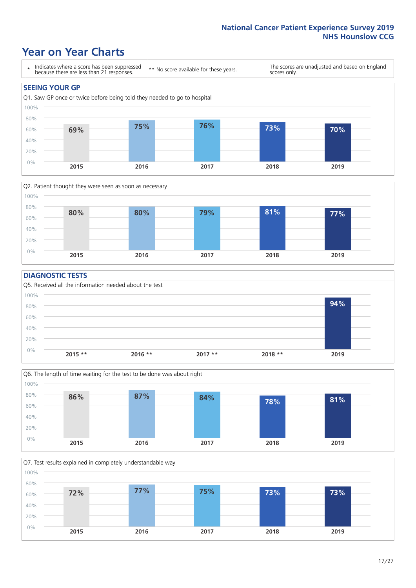### **Year on Year Charts**





### **DIAGNOSTIC TESTS**





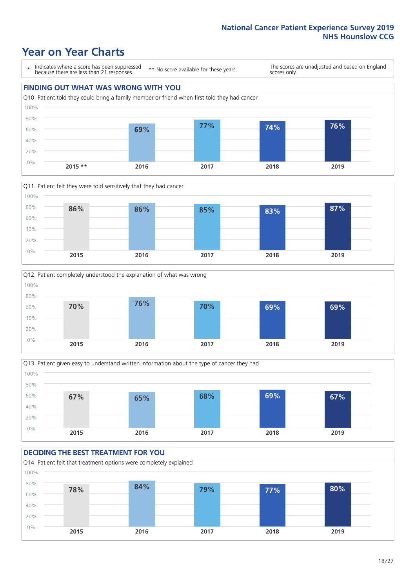### **Year on Year Charts**

\* Indicates where a score has been suppressed because there are less than 21 responses.

\*\* No score available for these years.

The scores are unadjusted and based on England scores only.









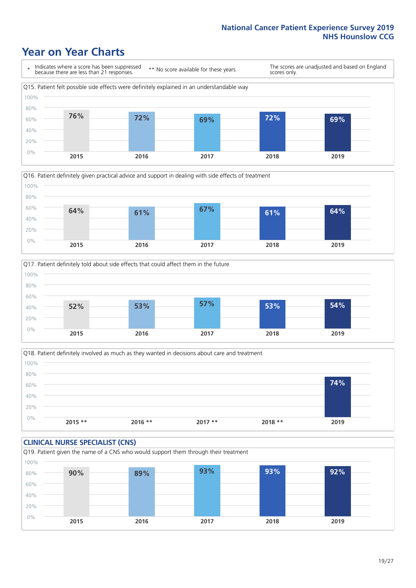### **Year on Year Charts**







Q18. Patient definitely involved as much as they wanted in decisions about care and treatment  $0%$ 20% 40% 60% 80% 100% **2015 \*\* 2016 \*\* 2017 \*\* 2018 \*\* 2019 74%**

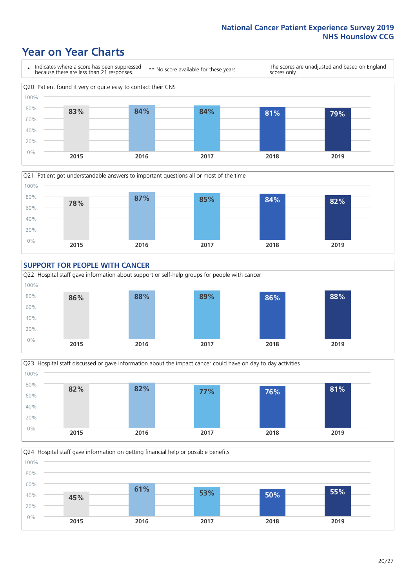### **Year on Year Charts**











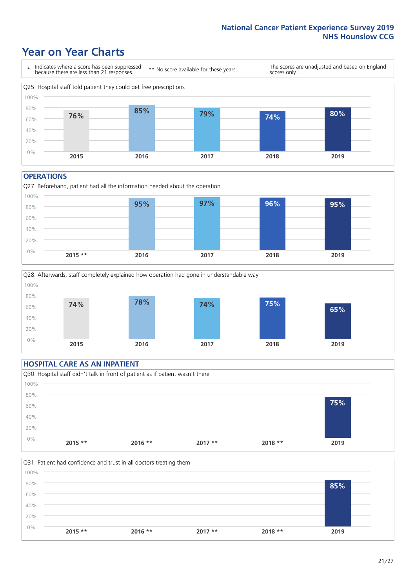### **Year on Year Charts**



#### **OPERATIONS**





### **HOSPITAL CARE AS AN INPATIENT** Q30. Hospital staff didn't talk in front of patient as if patient wasn't there 0% 20% 40% 60% 80% 100% **2015 \*\* 2016 \*\* 2017 \*\* 2018 \*\* 2019 75%**

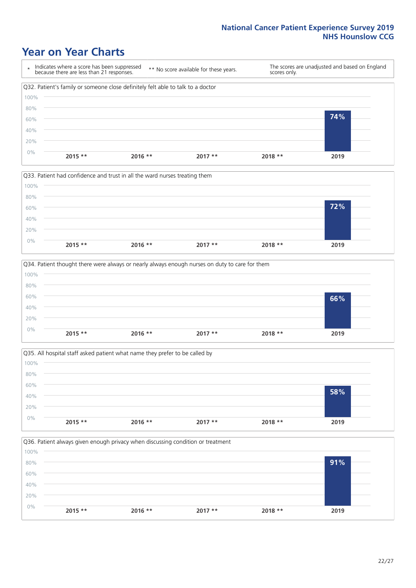### **Year on Year Charts**









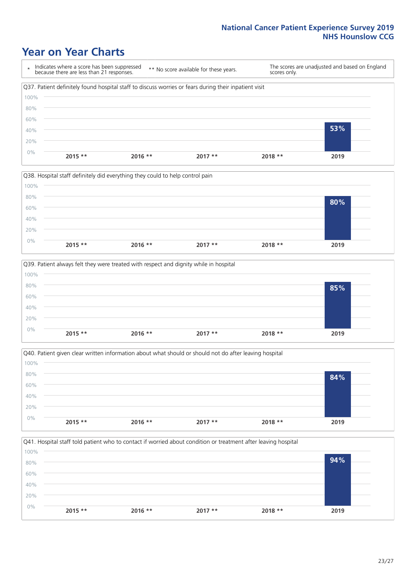### **Year on Year Charts**









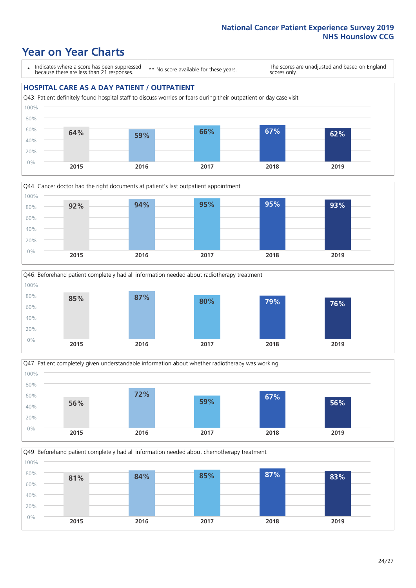### **Year on Year Charts**

\* Indicates where a score has been suppressed because there are less than 21 responses.

\*\* No score available for these years.

The scores are unadjusted and based on England scores only.

#### **HOSPITAL CARE AS A DAY PATIENT / OUTPATIENT**









Q49. Beforehand patient completely had all information needed about chemotherapy treatment 100%

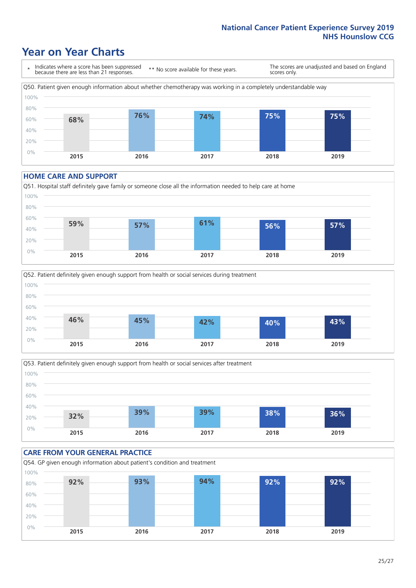### **Year on Year Charts**



#### **HOME CARE AND SUPPORT**







### **CARE FROM YOUR GENERAL PRACTICE** Q54. GP given enough information about patient's condition and treatment 0% 20% 40% 60% 80% 100% **2015 2016 2017 2018 2019 92% 93% 94% 92% 92%**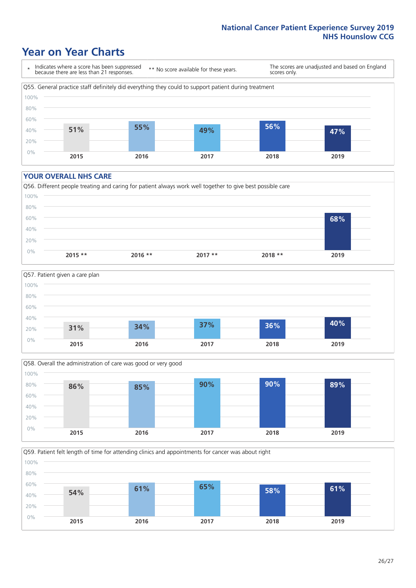### **Year on Year Charts**

\* Indicates where a score has been suppressed because there are less than 21 responses.

\*\* No score available for these years.

The scores are unadjusted and based on England scores only.



#### **YOUR OVERALL NHS CARE**







Q59. Patient felt length of time for attending clinics and appointments for cancer was about right